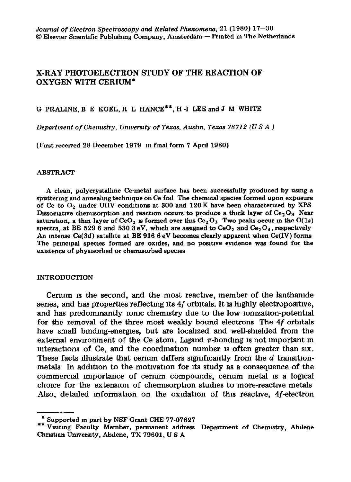# **X-RAY PHOTOELECTRON STUDY OF THE REACTION OF OXYGEN WITH CERIUM\***

G PRALINE, B E KOEL, R L HANCE\*\*, H -1 LEE and J M WHITE

*Department of Chemzstry, Unwersaty of Texas, Austm, Texas 78712 (US A )* 

(First recewed 28 December 1979 m final form 7 April 1980)

#### ABSTRACT

A clean, polycrystallme Ce-metal surface has been successfully produced by using a sputtering and annealing technique on Ce foil The chemical species formed upon exposure of Ce to  $O_2$  under UHV conditions at 300 and 120 K have been characterized by XPS Dissociative chemisorption and reaction occurs to produce a thick layer of  $Ce<sub>2</sub>O<sub>3</sub>$  Near saturation, a thin layer of CeO<sub>2</sub> is formed over this Ce<sub>2</sub> O<sub>3</sub> Two peaks occur in the  $O(1s)$ spectra, at BE 529 6 and 530 3 eV, which are assigned to CeO<sub>2</sub> and Ce<sub>2</sub>O<sub>3</sub>, respectively An Intense *Ce(3d)* satelhte at BE 916 6 eV becomes clearly apparent when Ce(IV) forms The principal species formed are oxides, and no positive evidence was found for the existence of physisorbed or chemisorbed species

# INTRODUCTION

Cerium is the second, and the most reactive, member of the lanthanide senes, and has properties reflecting its 4f orbitals. It is highly electropositive, and has predominantly ionic chemistry due to the low ionization-potential **for the removal of the three most weakly bound electrons The 4f orbltals**  have small binding-energies, but are localized and well-shielded from the external environment of the Ce atom. Ligand  $\pi$ -bonding is not important in **mteractlons of Ce, and the coordmatlon number 1s often greater than s1x.**  These facts illustrate that cerium differs significantly from the *d* transitionmetals In addition to the motivation for its study as a consequence of the commercial importance of cerium compounds, cerium metal is a logical **choice for the extension of chemlsorptron studies to more-reactive metals Also, dekuled mformatlon on the oxldatlon of this reactive, 4f-electron** 

<sup>\*</sup> Supported m part by NSF Grant CHE 77-07827

<sup>\*\*</sup> Visiting Faculty Member, permanent address Department of Chemistry, Abilene Christian University, Abilene, TX 79601, U S A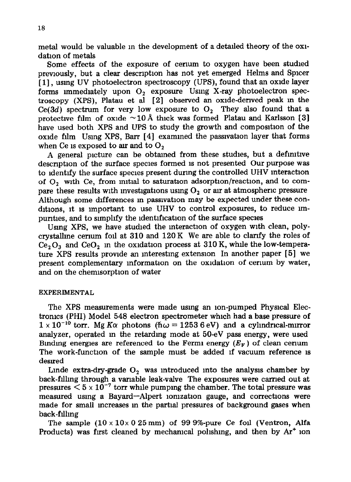metal would be valuable in the development of a detailed theory of the oxidation of metals

Some effects of the exposure of cenum to oxygen have been studied previously, but a clear description has not yet emerged Helms and Spicer [1], using UV photoelectron spectroscopy (UPS), found that an oxide layer forms immediately upon  $O_2$  exposure Using X-ray photoelectron spectroscopy (XPS), Platau et al [2] observed an oxide-derwed peak m the  $Ce(3d)$  spectrum for very low exposure to  $O<sub>2</sub>$  They also found that a protective film of oxide  $\sim 10 \text{ Å}$  thick was formed Platau and Karlsson [3] have used both XPS and UPS to study the growth and composition of the oxide film Usmg XPS, Barr [ 41 examined the passlvatlon layer that forms when Ce is exposed to air and to  $O<sub>2</sub>$ 

A general picture can be obtained from these studies, but a definitive description of the surface species formed is not presented Our purpose was to ldentlfy the surface species present during the controlled UHV interaction of  $O<sub>2</sub>$  with Ce, from initial to saturation adsorption/reaction, and to compare these results with investigations using  $O<sub>2</sub>$  or air at atmospheric pressure Although some differences in passivation may be expected under these conditions, It 1s important to use UHV to control exposures, to reduce unpurities, and to simplify the identification of the surface species

Using XPS, we have studied the interaction of oxygen with clean, polycrystallme cerium foil at 310 and 120 K We are able to clarify the roles of  $Ce<sub>2</sub>O<sub>3</sub>$  and  $CeO<sub>2</sub>$  m the oxidation process at 310 K, while the low-temperature XPS results provide an interesting extension In another paper [5] we present complementary information on the oxidation of cerium by water, and on the chemisorption of water

# **EXPERIMENTAL**

The XPS measurements were made usmg an ion-pumped Physical Electronics (PHI) Model 548 electron spectrometer which had a base pressure of  $1 \times 10^{-10}$  torr. Mg K $\alpha$  photons ( $\hbar \omega = 1253.6$  eV) and a cylindrical-mirror analyzer, operated m the retardmg mode at 50-eV pass energy, were used Binding energies are referenced to the Fermi energy  $(E_F)$  of clean cerium The work-function of the sample must be added if vacuum reference is desired

Linde extra-dry-grade  $O_2$  was introduced into the analysis chamber by back-filling through a vanable leak-valve The exposures were carned out at pressures  $\leq 5 \times 10^{-7}$  torr while pumping the chamber. The total pressure was measured usmg a Bayard-Alpert lomzatlon gauge, and corrections were made for small mcreases m the partial pressures of background gases when back-filling

The sample  $(10 \times 10 \times 0.25 \text{ mm})$  of 99.9%-pure Ce foil (Ventron, Alfa Products) was first cleaned by mechanical polishing, and then by  $Ar^+$  ion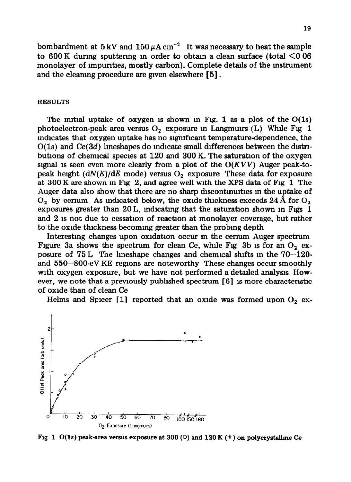bombardment at  $5 \text{ kV}$  and  $150 \mu \text{A cm}^{-2}$  It was necessary to heat the sample to 600 K during sputtering in order to obtain a clean surface (total  $\leq 0.06$ ) monolayer of impurities, mostly carbon). Complete details of the instrument and the cleaning procedure are gwen elsewhere [ 51.

#### **RESULTS**

The mitted uptake of oxygen is shown in Fig. 1 as a plot of the  $O(1s)$ photoelectron-peak area versus  $O_2$  exposure in Langmuirs (L) While Fig 1 mdlcates that oxygen uptake has no slgnlflcant temperature-dependence, the  $O(1s)$  and  $Ce(3d)$  lineshapes do indicate small differences between the distributlons of chemical species at 120 and 300 K. The saturation of the oxygen signal is seen even more clearly from a plot of the  $O(KVV)$  Auger peak-topeak height  $(dN(E)/dE)$  mode) versus  $O<sub>2</sub>$  exposure These data for exposure at 300 K are shown m Fig 2, and agree well mth the XPS data of Fig 1 The Auger data also show that there are no sharp discontinuities in the uptake of O<sub>2</sub> by certum As indicated below, the oxide thickness exceeds  $24 \text{ Å}$  for O<sub>2</sub> exposures greater than 20 L, indicating that the saturation shown in Figs 1 and 2 is not due to cessation of reaction at monolayer coverage, but rather to the oxide thickness becoming greater than the probing depth

Interestmg changes upon oxldatlon occur m the cenum Auger spectrum Figure 3a shows the spectrum for clean Ce, while Fig 3b is for an  $O_2$  exposure of  $75 L$  The lineshape changes and chemical shifts in the  $70-120$ and  $550-800$ -eV KE regions are noteworthy These changes occur smoothly with oxygen exposure, but we have not performed a detailed analysis However, we note that a previously published spectrum  $[6]$  is more characteristic of oxide than of clean Ce

Helms and Spicer [1] reported that an oxide was formed upon  $O_2$  ex-



Fig 1 O(1s) peak-area versus exposure at 300  $\circ$  and 120 K (<sup>+</sup>) on polycrystalline Ce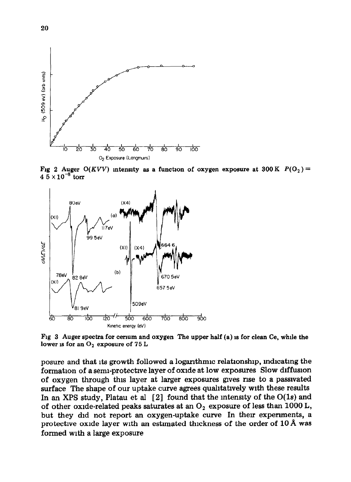

Fig 2 Auger  $O(KVV)$  intensity as a function of oxygen exposure at  $300 \text{ K } P(O_2)$  =  $4.5 \times 10^{-8}$  torr



**Fig** *3* **Auger spectra for cenum and oxygen The upper half (a) IS for clean Ce, while the**  lower is for an O<sub>2</sub> exposure of 75 L

posure and that its growth followed a logarithmic relationship, indicating the formation of a semi-protective layer of oxide at low exposures Slow diffusion of oxygen through thrs layer at larger exposures gves rise to a passlvated surface The shape of our uptake curve agrees qualitatively with these results In an XPS study, Platau et al  $[2]$  found that the intensity of the O(1s) and of other oxide-related peaks saturates at an  $O<sub>2</sub>$  exposure of less than 1000 L, but they did not report an oxygen-uptake curve In their experiments, a protective oxide layer with an estimated thickness of the order of 10 Å was formed with a large exposure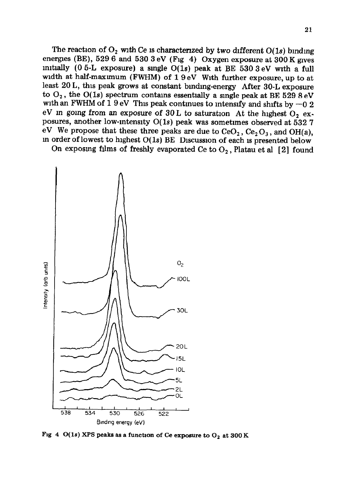The reaction of  $O_2$  with Ce is characterized by two different  $O(1s)$  binding energies (BE),  $5296$  and  $5303 eV$  (Fig 4) Oxygen exposure at 300 K gives mitially (0 5-L exposure) a single  $O(1s)$  peak at BE 530 3 eV with a full width at half-maxunum (FWHM) of 19 eV With further exposure, up to at least 20 L, this peak grows at constant binding-energy After 30-L exposure to  $O_2$ , the  $O(1s)$  spectrum contains essentially a single peak at BE 529 8 eV with an FWHM of 1 9 eV This peak continues to intensify and shifts by  $-0.2$ eV in going from an exposure of 30 L to saturation At the highest  $O_2$  exposures, another low-intensity  $O(1s)$  peak was sometimes observed at 532 7 eV We propose that these three peaks are due to  $CeO<sub>2</sub>$ ,  $Ce<sub>2</sub>O<sub>3</sub>$ , and OH(a), m order of lowest to highest O(ls) BE Dlscusslon of each 1s presented below

On exposing films of freshly evaporated Ce to  $O_2$ , Platau et al [2] found



Fig 4 O(1s) XPS peaks as a function of Ce exposure to  $O_2$  at 300 K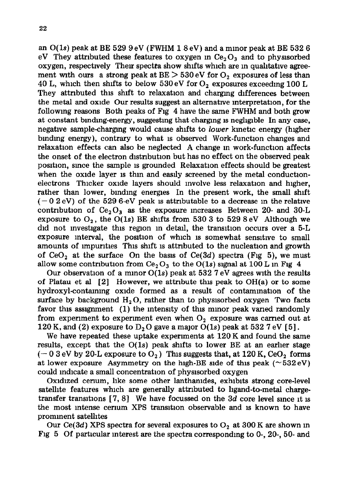an  $O(1s)$  peak at BE 529 9 eV (FWHM 1 8 eV) and a minor peak at BE 532 6 eV They attributed these features to oxygen in  $Ce<sub>2</sub>O<sub>3</sub>$  and to physisorbed oxygen, respectively Their spectra show shifts which are in qualitative agreement with ours a strong peak at  $BE > 530 \text{ eV}$  for  $O_2$  exposures of less than 40 L, which then shifts to below 530 eV for  $O_2$  exposures exceeding 100 L They attnbuted this shift to relaxation and chargmg differences between the metal and oxide Our results suggest an alternative interpretation, for the following reasons Both peaks of Fig 4 have the same FWHM and both grow at constant bmdmg-energy, suggesting that chargmg 1s negllable In any case, negative samplechargmg would cause shifts to *lower* kinetic energy (higher bmdmg energy), contrary to what 1s observed Work-function changes and relaxation effects can also be neglected A change m work-function affects the onset of the electron distribution but has no effect on the observed peak posltlon, smce the sample 1s grounded Relaxation effects should be greatest when the oxide layer is thin and easily screened by the metal conductionelectrons Thicker oxide layers should mvolve less relaxation and higher, rather than lower, binding energies In the present work, the small shift  $(-0.2 \text{ eV})$  of the 529 6-eV peak is attributable to a decrease in the relative contribution of  $Ce<sub>2</sub>O<sub>3</sub>$  as the exposure increases Between 20- and 30-L exposure to  $O_2$ , the O(1s) BE shifts from 530 3 to 529 8 eV Although we did not investigate this region in detail, the transition occurs over a 5-L exposure interval, the position of which is somewhat sensitive to small amounts of impurities This shift is attributed to the nucleation and growth of  $CeO<sub>2</sub>$  at the surface On the basis of  $Ce(3d)$  spectra (Fig 5), we must allow some contribution from  $Ce<sub>2</sub>O<sub>3</sub>$  to the O(1s) signal at 100 L in Fig 4

Our observation of a minor  $O(1s)$  peak at 532 7 eV agrees with the results of Platau et al  $[2]$  However, we attribute this peak to OH(a) or to some hydroxyl-containing oxide formed as a result of contamination of the surface by background  $H_2O$ , rather than to physisorbed oxygen Two facts favor this assignment (1) the intensity of this mmor peak varied randomly from experiment to experiment even when  $O_2$  exposure was carried out at 120 K, and (2) exposure to  $D_2O$  gave a major  $O(1s)$  peak at 532 7 eV [5].

We have repeated these uptake experiments at 120 K and found the same results, except that the  $O(1s)$  peak shifts to lower BE at an earlier stage  $(-0.3 \text{ eV} \text{ by } 20 \text{ L} \text{ exposure to } O_2)$  This suggests that, at 120 K, CeO<sub>2</sub> forms at lower exposure Asymmetry on the high-BE side of this peak ( $\sim$ 532 eV) could indicate a small concentration of physlsorbed oxygen

Oxidized cerium, like some other lanthamides, exhibits strong core-level satellite features which are generally attributed to hgand-to-metal chargetransfer transitions [7, 8] We have focussed on the 3d core level since it is the most mtense cermm XPS transition observable and 1s known to have prominent satellites

Our  $Ce(3d)$  XPS spectra for several exposures to  $O<sub>2</sub>$  at 300 K are shown in Fig 5 Of particular interest are the spectra correspondmg to 0-, 20-, 50- and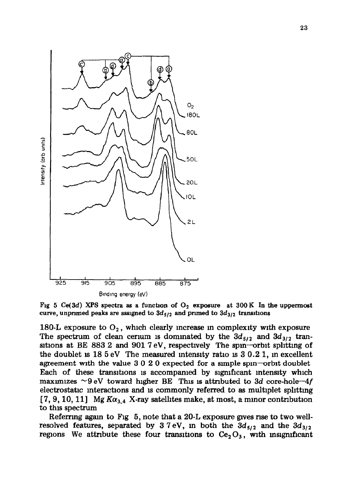

Fig 5 Ce(3d) XPS spectra as a function of  $O_2$  exposure at 300 K In the uppermost curve, unprimed peaks are assigned to  $3d_{5/2}$  and primed to  $3d_{3/2}$  transitions

180-L exposure to  $O_2$ , which clearly increase in complexity with exposure The spectrum of clean cerium is dominated by the  $3d_{5/2}$  and  $3d_{3/2}$  transitions at BE 883 2 and 901  $7 \text{ eV}$ , respectively The spin-orbit splitting of the doublet is  $18\,5\,\mathrm{eV}$  The measured intensity ratio is  $3\,0.2\,1$ , in excellent agreement with the value  $3020$  expected for a simple spin-orbit doublet Each of these transitions is accompanied by significant intensity which maximizes  $\sim$ 9 eV toward higher BE This is attributed to 3d core-hole- $4f$ electrostatic interactions and is commonly referred to as multiplet splitting [7, 9, 10, 11] Mg  $K\alpha_{3,4}$  X-ray satellites make, at most, a minor contribution to this spectrum

Referrmg agam to Fig 5, note that a 20-L exposure gwes nse to two wellresolved features, separated by  $3.7 \text{ eV}$ , in both the  $3d_{5/2}$  and the  $3d_{3/2}$ regions We attribute these four transitions to  $Ce<sub>2</sub>O<sub>3</sub>$ , with insignificant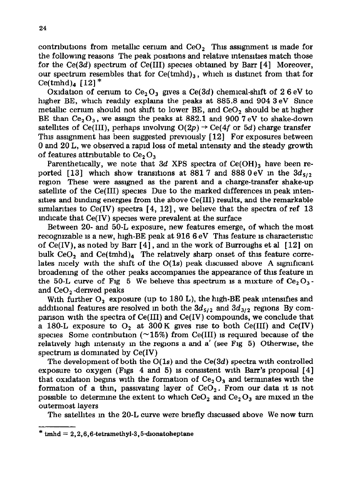contributions from metallic cerium and  $CeO<sub>2</sub>$  This assignment is made for the following reasons The peak positions and relative intensities match those for the  $Ce(3d)$  spectrum of  $Ce(III)$  species obtained by Barr [4] Moreover, our spectrum resembles that for  $Ce(tmhd)$ <sub>3</sub>, which is distinct from that for Ce(tmhd)<sub>4</sub>  $[12]$ <sup>\*</sup>

Oxidation of cerium to  $Ce<sub>2</sub>O<sub>3</sub>$  gives a  $Ce(3d)$  chemical-shift of 26 eV to higher BE, which readily explams the peaks at 885.8 and 904 3 eV Since metallic cerium should not shift to lower  $BE$ , and  $CeO<sub>2</sub>$  should be at higher BE than  $Ce<sub>2</sub>O<sub>3</sub>$ , we assign the peaks at 882.1 and 900 7 eV to shake-down satellites of Ce(III), perhaps involving  $O(2p) \rightarrow Ce(4f)$  or 5d) charge transfer This assignment has been suggested previously [12] For exposures between 0 and 20 L, we observed a rapid loss of metal intensity and the steady growth of features attributable to  $Ce, O<sub>3</sub>$ 

Parenthetically, we note that  $3d$  XPS spectra of Ce(OH)<sub>3</sub> have been reported [13] which show transitions at 881.7 and 888.0 eV in the  $3d_{5/2}$ region These were assigned as the parent and a charge-transfer shake-up satellite of the Ce(II1) species Due to the marked differences m peak mten sities and binding energies from the above  $Ce(III)$  results, and the remarkable similarities to Ce(IV) spectra  $[4, 12]$ , we believe that the spectra of ref 13 m dicate that  $Ce(IV)$  species were prevalent at the surface

Between 20- and 50-L exposure, new features emerge, of which the most recognizable is a new, high-BE peak at  $9166\,\mathrm{eV}$  This feature is characteristic of  $Ce(IV)$ , as noted by Barr [4], and in the work of Burroughs et al [12] on bulk CeO<sub>2</sub> and Ce(tmhd)<sub>4</sub> The relatively sharp onset of this feature correlates mcely with the shift of the  $O(1s)$  peak discussed above A significant broadening of the other peaks accompanies the appearance of this feature m the 50-L curve of Fig 5 We believe this spectrum is a mixture of  $Ce<sub>2</sub>O<sub>3</sub>$ . and  $CeO<sub>2</sub>$  derived peaks

With further  $O_2$  exposure (up to 180 L), the high-BE peak intensifies and additional features are resolved in both the  $3d_{5/2}$  and  $3d_{3/2}$  regions By comparison with the spectra of Ce(II1) and Ce(IV) compounds, we conclude that a 180-L exposure to  $O_2$  at 300 K gives rise to both Ce(III) and Ce(IV) species Some contribution ( $\sim$ 15%) from Ce(III) is required because of the relatively high intensity in the regions a and a' (see Fig 5) Otherwise, the spectrum is dominated by  $Ce(IV)$ 

The development of both the O(ls) and the *Ce(3d)* spectra with controlled exposure to oxygen (Figs 4 and 5) is consistent with Barr's proposal  $[4]$ that oxidation begins with the formation of  $Ce<sub>2</sub>O<sub>3</sub>$  and terminates with the formation of a thin, passivating layer of  $CeO<sub>2</sub>$ . From our data it is not possible to determine the extent to which  $CeO<sub>2</sub>$  and  $Ce<sub>2</sub>O<sub>3</sub>$  are mixed in the outermost layers

The satellites m the 20-L curve were briefly discussed above We now turn

**<sup>\*</sup> tmhd = 2,2,6,6-tetramethyl-3,5-dlonatoheptane**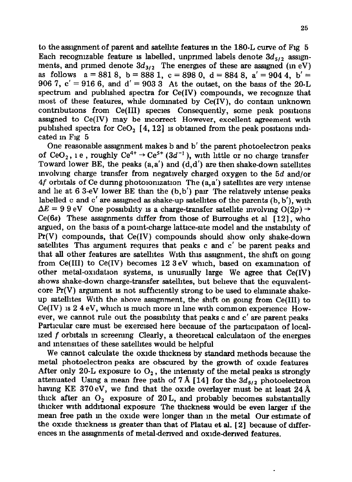to the assignment of parent and satelhte features m the 180-L curve of Fig 5 Each recognizable feature is labelled, unprimed labels denote  $3d_{5/2}$  assignments, and primed denote  $3d_{3/2}$  The energies of these are assigned (in eV) as follows  $a = 8818$ ,  $b = 8881$ ,  $c = 8980$ ,  $d = 8848$ ,  $a' = 9044$ ,  $b' =$ 906 7,  $c' = 916$  6, and  $d' = 903$  3 At the outset, on the basis of the 20-L spectrum and published spectra for  $Ce(IV)$  compounds, we recognize that most of these features, while dominated by  $Ce(IV)$ , do contain unknown contributions from Ce(III) species Consequently, some peak positions assigned to Ce(IV) may be mcorrect However, excellent agreement with published spectra for  $CeO<sub>2</sub>$  [4, 12] is obtained from the peak positions indicated m Fig 5

One reasonable assignment makes b and b' the parent photoelectron peaks of CeO<sub>2</sub>, 1 e, roughly Ce<sup>4+</sup>  $\rightarrow$  Ce<sup>5+</sup> (3d<sup>-1</sup>), with little or no charge transfer Toward lower BE, the peaks  $(a, a')$  and  $(d, d')$  are then shake-down satellites mvolvmg charge transfer from negatively charged oxygen to the *5d* and/or  $4f$  orbitals of Ce during photoionization The  $(a, a')$  satellites are very intense and lie at 6 3-eV lower BE than the  $(b, b')$  pair. The relatively intense peaks labelled c and c' are assigned as shake-up satellites of the parents (b, b'), wrth  $\Delta E = 9.9$  eV One possibility is a charge-transfer satellite involving  $O(2p) \rightarrow$  $Ce(6s)$  These assignments differ from those of Burroughs et al  $[12]$ , who argued, on the basis of a point-charge lattice-site model and the mstablhty of  $Pr(V)$  compounds, that  $Ce(IV)$  compounds should show only shake-down satellites This argument requires that peaks c and c' be parent peaks and that all other features are satelhtes With this assignment, the shift on going from Ce(III) to Ce(IV) becomes 12 3 eV which, based on examination of other metal-oxidation systems, is unusually large We agree that  $Ce(IV)$ shows shake-down charge-transfer satellites, but believe that the equlvalentcore  $Pr(V)$  argument is not sufficiently strong to be used to eliminate shakeup satelhtes With the above assignment, the shift on going from Ce(II1) to  $Ce(IV)$  is  $2.4 eV$ , which is much more in line with common experience However, we cannot rule out the possibility that peaks c and c' are parent peaks Particular care must be exercised here because of the participation of localized  $f$  orbitals in screening Clearly, a theoretical calculation of the energies and intensities of these satellites would be helpful

We cannot calculate the oxide thickness by standard methods because the metal photoelectron peaks are obscured by the growth of oxide features After only 20-L exposure to  $O_2$ , the intensity of the metal peaks is strongly attenuated Using a mean free path of 7 Å [14] for the  $3d_{5/2}$  photoelectron having KE 370 eV, we find that the oxide overlayer must be at least  $24$  Å thick after an  $O_2$  exposure of 20 L, and probably becomes substantially thicker with additional exposure The thickness would be even larger lf the mean free path m the oxide were longer than m the metal Our estimate of the oxide thickness is greater than that of Platau et al.  $[2]$  because of differences in the assignments of metal-derived and oxide-derived features.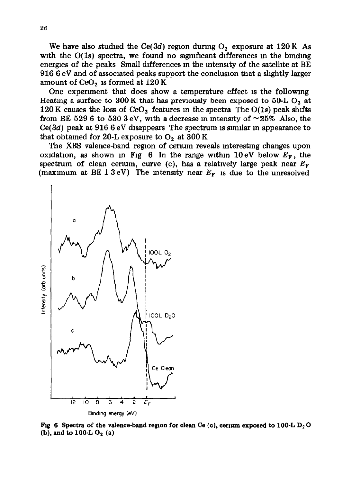We have also studied the Ce(3d) region during  $O_2$  exposure at 120 K As with the  $O(1s)$  spectra, we found no significant differences in the binding energies of the peaks Small differences m the intensity of the satellite at BE 916 6 eV and of associated peaks support the conclusion that a slightly larger amount of  $CeO<sub>2</sub>$  is formed at  $120 K$ 

One experiment that does show a temperature effect is the following Heating a surface to 300 K that has previously been exposed to 50-L  $O_2$  at 120 K causes the loss of CeO<sub>2</sub> features in the spectra The O(1s) peak shifts from BE 529 6 to 530 3 eV, with a decrease in intensity of  $\sim$  25% Also, the  $Ce(3d)$  peak at 916 6 eV disappears The spectrum is similar in appearance to that obtained for 20-L exposure to  $O<sub>2</sub>$  at 300 K

The XPS valence-band region of cerium reveals interesting changes upon oxidation, as shown in Fig 6 In the range within 10 eV below  $E_F$ , the spectrum of clean cerium, curve (c), has a relatively large peak near  $E_F$ (maximum at  $BE\ 1\ 3\ eV$ ) The intensity near  $E_F$  is due to the unresolved



Fig 6 Spectra of the valence-band region for clean Ce (c), cerium exposed to 100-L D<sub>2</sub>O  $(b)$ , and to 100-L  $O_2$  (a)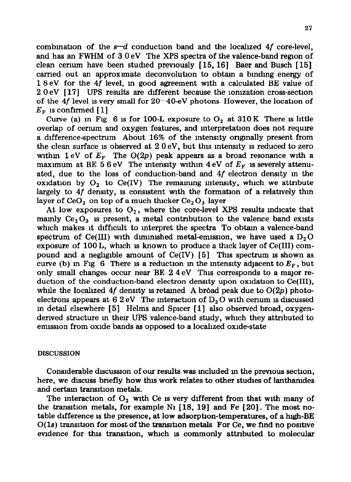combination of the  $s-d$  conduction band and the localized 4f core-level, and has an FWHM of 3 0 eV The XPS spectra of the valence-band region of clean cerium have been studied previously  $[15, 16]$  Baer and Busch  $[15]$ carried out an approximate deconvolution to obtain a binding energy of 1 8 eV for the 4f level, m good agreement with a calculated BE value of 2 0 eV [ 171 UPS results are different because the lomzatlon cross-section of the  $4f$  level is very small for  $20-40-eV$  photons However, the location of  $E<sub>F</sub>$  is confirmed [1]

Curve (a) in Fig 6 is for 100-L exposure to  $O_2$  at 310 K There is little overlap of cerlum and oxygen features, and mterpretatlon does not require a difference-spectrum About 16% of the mtenslty ongmally present from the clean surface is observed at  $2.0 \text{ eV}$ , but this intensity is reduced to zero within 1 eV of  $E_F$ . The O(2p) peak appears as a broad resonance with a maximum at BE 5 6 eV The intensity within 4 eV of  $E_F$  is severely attenuated, due to the loss of conduction-band and 4f electron density m the oxidation by  $O_2$  to Ce(IV) The remaining intensity, which we attribute largely to  $4f$  density, is consistent with the formation of a relatively thin layer of  $CeO<sub>2</sub>$  on top of a much thicker  $Ce<sub>2</sub>O<sub>3</sub>$  layer

At low exposures to  $O_2$ , where the core-level XPS results indicate that mainly  $Ce<sub>2</sub>O<sub>3</sub>$  is present, a metal contribution to the valence band exists which makes it difficult to mterpret the spectra To obtam a valence-band spectrum of Ce(III) with diminished metal-emission, we have used a  $D<sub>2</sub>O$ exposure of  $100 L$ , which is known to produce a thick layer of Ce(III) compound and a negligible amount of  $Ce(IV)$  [5] This spectrum is shown as curve (b) in Fig 6 There is a reduction in the intensity adjacent to  $E_F$ , but only small changes occur near BE  $2.4 \text{ eV}$  This corresponds to a major reduction of the conduction-band electron density upon oxidation to  $Ce(III)$ , while the localized 4f density is retained A broad peak due to  $O(2p)$  photoelectrons appears at  $6.2$  eV The interaction of  $D<sub>2</sub>$ O with cerium is discussed in detail elsewhere  $[5]$  Helms and Spicer  $[1]$  also observed broad, oxygenderwed structure m then UPS valence-band study, which they attributed to emlsslon from oxide bands as opposed to a localized oxide-state

# **DISCUSSION**

Conslderable dlscusaon of our results was mcluded m the previous section, here, we discuss bnefly how this work relates to other studies of lanthamdes and certain transition metals.

The interaction of  $O_2$  with Ce is very different from that with many of the transition metals, for example N<sub>1</sub> [18, 19] and Fe [20]. The most notable difference 1s the presence, at low adsorption-temperatures, of a high-BE  $O(1s)$  transition for most of the transition metals For Ce, we find no positive evidence for this transition, which is commonly attributed to molecular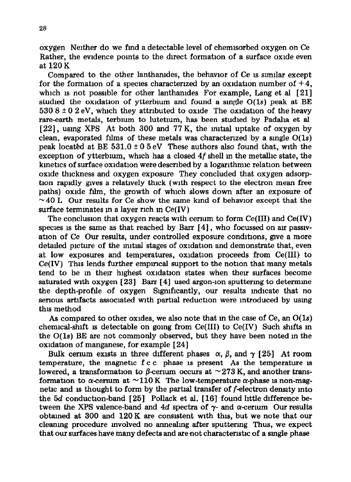oxygen Neither do we find a detectable level of chemlsorbed oxygen on Ce Rather, the evidence pomts to the direct formation of a surface oxide even at 120 K

Compared to the other lanthanides, the behavior of Ce is similar except for the formation of a species characterized by an oxidation number of  $+4$ , which is not possible for other lanthanides For example, Lang et al [21] studied the oxidation of ytterbium and found a single  $O(1s)$  peak at BE  $5308 \pm 0.2$  eV, which they attributed to oxide The oxidation of the heavy rare-earth metals, terbium to lutetium, has been studied by Padaha et al  $[22]$ , using XPS At both 300 and 77 K, the initial uptake of oxygen by clean, evaporated films of these metals was characterized by a single  $O(1s)$ peak located at BE  $531.0 \pm 0.5$  eV These authors also found that, with the exception of ytterbium, which has a closed  $4f$  shell in the metallic state, the kinetics of surface oxidation were described by a logarithmic relation between oxide thickness and oxygen exposure They concluded that oxygen adsorption rapidly aves a relatively thick (with respect to the electron mean free paths) oxide film, the growth of which slows down after an exposure of  $\sim$  40 L Our results for Ce show the same kind of behavior except that the surface terminates in a laver rich in Ce(IV)

The conclusion that oxygen reacts with cerium to form  $Ce(III)$  and  $Ce(IV)$ species is the same as that reached by Barr  $[4]$ , who focussed on air passivation of Ce Our results, under controlled exposure conditions, give a more detailed picture of the initial stages of oxidation and demonstrate that, even at low exposures and temperatures, oxldatlon proceeds from Ce(II1) to  $Ce(IV)$  This lends further empirical support to the notion that many metals tend to be m therr highest oxldatlon states when their surfaces become saturated with oxygen  $[23]$  Barr  $[4]$  used argon-ion sputtering to determine the depth-profile of oxygen Significantly, our results indicate that no serious artifacts associated with partial reduction were introduced by usmg this method

**As** compared to other oxides, we also note that m the case of Ce, an O(ls) chemical-shift is detectable on going from  $Ce(III)$  to  $Ce(IV)$  Such shifts in the  $O(1s)$  BE are not commonly observed, but they have been noted in the oxldatlon of manganese, for example [ 241

Bulk certum exists in three different phases  $\alpha$ ,  $\beta$ , and  $\gamma$  [25] At room temperature, the magnetic  $f \nc$  phase is present As the temperature is lowered, a transformation to  $\beta$ -cerium occurs at  $\sim$  273 K, and another transformation to  $\alpha$ -cerium at  $\sim$ 110 K The low-temperature  $\alpha$ -phase is non-magnetic and is thought to form by the partial transfer of f-electron density into the 5d conduction-band [25] Pollack et al. [16] found httle difference between the XPS valence-band and 4d spectra of  $\gamma$ - and  $\alpha$ -cerium Our results obtained at 300 and  $120 K$  are consistent with this, but we note that our cleanmg procedure mvolved no annealmg after sputtermg Thus, we expect that our surfaces have many defects and are not characteristic of a single phase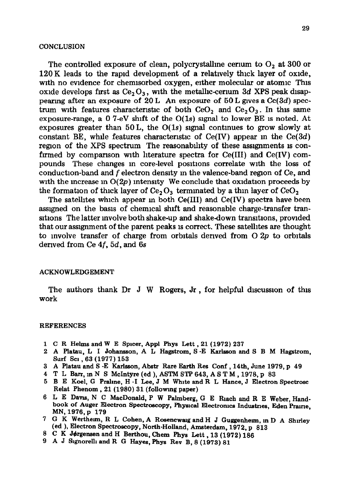#### **CONCLUSION**

The controlled exposure of clean, polycrystalline certum to  $O<sub>2</sub>$  at 300 or 120 K leads to the rapid development of a relatively thick layer of oxide, with no evidence for chemlsorbed oxygen, either molecular or atomic This oxide develops first as  $Ce<sub>2</sub>O<sub>3</sub>$ , with the metallic-cerium 3d XPS peak disappearing after an exposure of 20 L An exposure of  $50 L$  gives a Ce(3d) spectrum with features characteristic of both CeO<sub>2</sub> and  $Ce<sub>2</sub>O<sub>3</sub>$ . In this same exposure-range, a 0 7-eV shift of the  $O(1s)$  signal to lower BE is noted. At exposures greater than 50 L, the  $O(1s)$  signal continues to grow slowly at constant BE, while features characteristic of  $Ce(IV)$  appear in the  $Ce(3d)$ region of the XPS spectrum The reasonability of these assignments is confirmed by comparison with literature spectra for  $Ce(III)$  and  $Ce(IV)$  compounds These changes m core-level posltlons correlate with the loss of conduction-band and f electron density in the valence-band region of Ce, and with the increase in  $O(2p)$  intensity We conclude that oxidation proceeds by the formation of thick layer of  $Ce<sub>2</sub>O<sub>3</sub>$  terminated by a thin layer of  $CeO<sub>2</sub>$ 

The satelhtes which appear m both Ce(II1) and Ce(IV) spectra have been assigned on the basis of chemical shift and reasonable charge-transfer transitions The latter involve both shake-up and shake-down transitions, provided that our assignment of the parent peaks 1s correct. These satellites are thought to involve transfer of charge from orbitals derived from  $O 2p$  to orbitals derived from Ce 4f, *5d,* and 6s

# ACKNOWLEDGEMENT

The authors thank Dr J W Rogers, Jr , for helpful dlscusslon of this work

#### REFERENCES

- 1 C R Helms and W E Spicer, Appl Phys Lett, 21 (1972) 237
- 2 **A Platau,** L I Johansson, A L Hagstrom, S -E Karlsson and S B M Hagstrom, Surf **SCI** ,63 (1977) 153
- 3 A Platau and S -E Karlsson, Abstr Rare Earth Res **Conf** ,14th, June 1979, **P 49**
- **4** T L Barr, m N S McIntyre (ed ), ASTM STP 643, AS T M ,1978, P 83
- 5 B E Koel, G Praline, H -I Lee, J M White and R L Hance, J Electron Spectrosc Relat **Phenom ,** 21(1980) 31 (followmg paper)
- 6 L E Dam, N C MacDonald, P W Pahnberg, G E Rlach and R E Weber, Handbook of Auger Electron Spectroscopy, Physical Electronics Industries, Eden Prairie, MN, 1976, p 179
- 7 G K Werthenn, R L Cohen, A Rosencwag and H J Guggenheun, m D A Shirley (ed ), Electron Spectroscopy, North-Holland, Amsterdam, 1972, p 813
- 8 C K Jdrgensen and H Berthou, Chem Phys Lett **,13** (1972) 186
- 9 A J Slgnorelhand R G Hayes,Phys Rev B, 8 (1973) 81